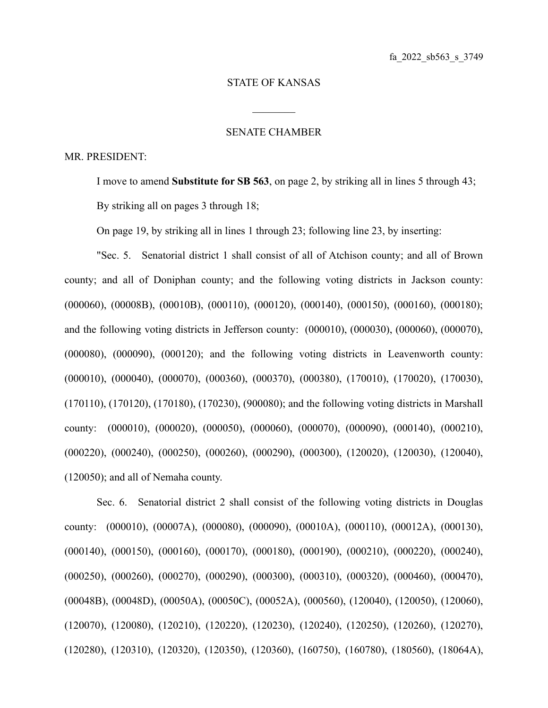## STATE OF KANSAS

 $\mathcal{L}_\text{max}$ 

## SENATE CHAMBER

## MR. PRESIDENT:

I move to amend **Substitute for SB 563**, on page 2, by striking all in lines 5 through 43; By striking all on pages 3 through 18;

On page 19, by striking all in lines 1 through 23; following line 23, by inserting:

"Sec. 5. Senatorial district 1 shall consist of all of Atchison county; and all of Brown county; and all of Doniphan county; and the following voting districts in Jackson county: (000060), (00008B), (00010B), (000110), (000120), (000140), (000150), (000160), (000180); and the following voting districts in Jefferson county: (000010), (000030), (000060), (000070), (000080), (000090), (000120); and the following voting districts in Leavenworth county: (000010), (000040), (000070), (000360), (000370), (000380), (170010), (170020), (170030), (170110), (170120), (170180), (170230), (900080); and the following voting districts in Marshall county: (000010), (000020), (000050), (000060), (000070), (000090), (000140), (000210), (000220), (000240), (000250), (000260), (000290), (000300), (120020), (120030), (120040), (120050); and all of Nemaha county.

Sec. 6. Senatorial district 2 shall consist of the following voting districts in Douglas county: (000010), (00007A), (000080), (000090), (00010A), (000110), (00012A), (000130), (000140), (000150), (000160), (000170), (000180), (000190), (000210), (000220), (000240), (000250), (000260), (000270), (000290), (000300), (000310), (000320), (000460), (000470), (00048B), (00048D), (00050A), (00050C), (00052A), (000560), (120040), (120050), (120060), (120070), (120080), (120210), (120220), (120230), (120240), (120250), (120260), (120270), (120280), (120310), (120320), (120350), (120360), (160750), (160780), (180560), (18064A),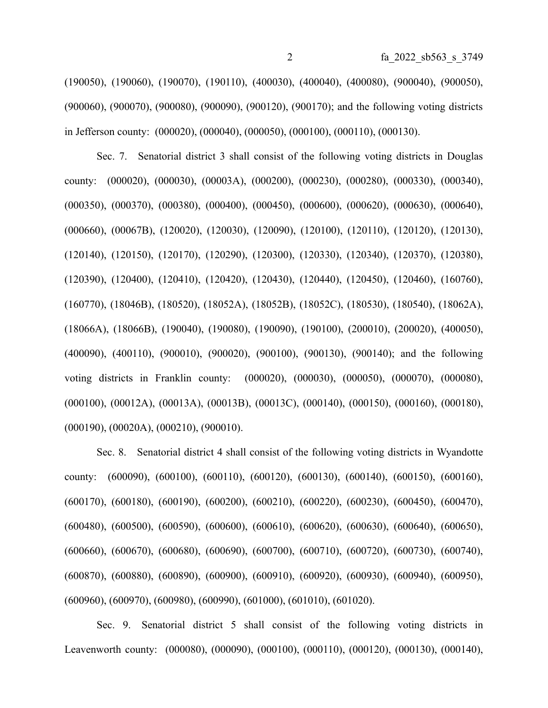(190050), (190060), (190070), (190110), (400030), (400040), (400080), (900040), (900050), (900060), (900070), (900080), (900090), (900120), (900170); and the following voting districts in Jefferson county: (000020), (000040), (000050), (000100), (000110), (000130).

Sec. 7. Senatorial district 3 shall consist of the following voting districts in Douglas county: (000020), (000030), (00003A), (000200), (000230), (000280), (000330), (000340), (000350), (000370), (000380), (000400), (000450), (000600), (000620), (000630), (000640), (000660), (00067B), (120020), (120030), (120090), (120100), (120110), (120120), (120130), (120140), (120150), (120170), (120290), (120300), (120330), (120340), (120370), (120380), (120390), (120400), (120410), (120420), (120430), (120440), (120450), (120460), (160760), (160770), (18046B), (180520), (18052A), (18052B), (18052C), (180530), (180540), (18062A), (18066A), (18066B), (190040), (190080), (190090), (190100), (200010), (200020), (400050), (400090), (400110), (900010), (900020), (900100), (900130), (900140); and the following voting districts in Franklin county: (000020), (000030), (000050), (000070), (000080), (000100), (00012A), (00013A), (00013B), (00013C), (000140), (000150), (000160), (000180), (000190), (00020A), (000210), (900010).

Sec. 8. Senatorial district 4 shall consist of the following voting districts in Wyandotte county: (600090), (600100), (600110), (600120), (600130), (600140), (600150), (600160), (600170), (600180), (600190), (600200), (600210), (600220), (600230), (600450), (600470), (600480), (600500), (600590), (600600), (600610), (600620), (600630), (600640), (600650), (600660), (600670), (600680), (600690), (600700), (600710), (600720), (600730), (600740), (600870), (600880), (600890), (600900), (600910), (600920), (600930), (600940), (600950), (600960), (600970), (600980), (600990), (601000), (601010), (601020).

Sec. 9. Senatorial district 5 shall consist of the following voting districts in Leavenworth county: (000080), (000090), (000100), (000110), (000120), (000130), (000140),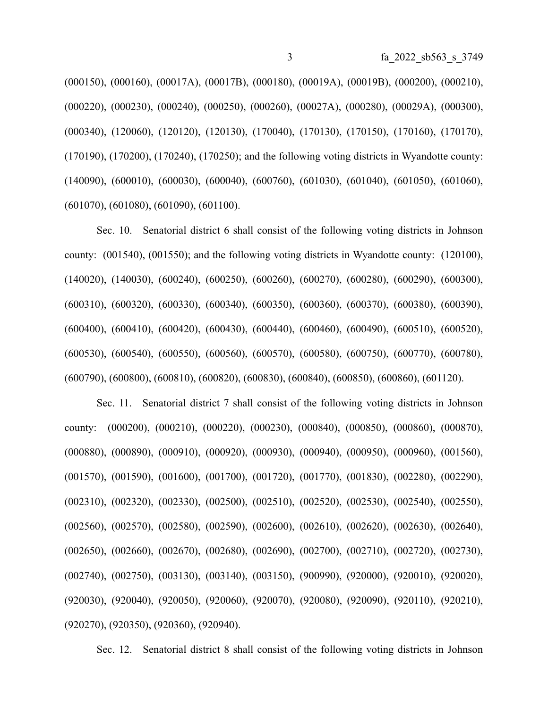(000150), (000160), (00017A), (00017B), (000180), (00019A), (00019B), (000200), (000210), (000220), (000230), (000240), (000250), (000260), (00027A), (000280), (00029A), (000300), (000340), (120060), (120120), (120130), (170040), (170130), (170150), (170160), (170170), (170190), (170200), (170240), (170250); and the following voting districts in Wyandotte county: (140090), (600010), (600030), (600040), (600760), (601030), (601040), (601050), (601060), (601070), (601080), (601090), (601100).

Sec. 10. Senatorial district 6 shall consist of the following voting districts in Johnson county: (001540), (001550); and the following voting districts in Wyandotte county: (120100), (140020), (140030), (600240), (600250), (600260), (600270), (600280), (600290), (600300), (600310), (600320), (600330), (600340), (600350), (600360), (600370), (600380), (600390), (600400), (600410), (600420), (600430), (600440), (600460), (600490), (600510), (600520), (600530), (600540), (600550), (600560), (600570), (600580), (600750), (600770), (600780), (600790), (600800), (600810), (600820), (600830), (600840), (600850), (600860), (601120).

Sec. 11. Senatorial district 7 shall consist of the following voting districts in Johnson county: (000200), (000210), (000220), (000230), (000840), (000850), (000860), (000870), (000880), (000890), (000910), (000920), (000930), (000940), (000950), (000960), (001560), (001570), (001590), (001600), (001700), (001720), (001770), (001830), (002280), (002290), (002310), (002320), (002330), (002500), (002510), (002520), (002530), (002540), (002550), (002560), (002570), (002580), (002590), (002600), (002610), (002620), (002630), (002640), (002650), (002660), (002670), (002680), (002690), (002700), (002710), (002720), (002730), (002740), (002750), (003130), (003140), (003150), (900990), (920000), (920010), (920020), (920030), (920040), (920050), (920060), (920070), (920080), (920090), (920110), (920210), (920270), (920350), (920360), (920940).

Sec. 12. Senatorial district 8 shall consist of the following voting districts in Johnson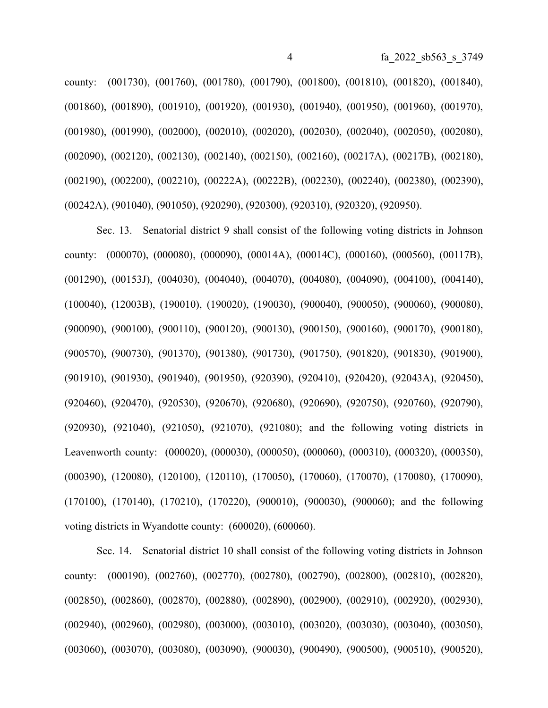county: (001730), (001760), (001780), (001790), (001800), (001810), (001820), (001840), (001860), (001890), (001910), (001920), (001930), (001940), (001950), (001960), (001970), (001980), (001990), (002000), (002010), (002020), (002030), (002040), (002050), (002080), (002090), (002120), (002130), (002140), (002150), (002160), (00217A), (00217B), (002180), (002190), (002200), (002210), (00222A), (00222B), (002230), (002240), (002380), (002390), (00242A), (901040), (901050), (920290), (920300), (920310), (920320), (920950).

Sec. 13. Senatorial district 9 shall consist of the following voting districts in Johnson county: (000070), (000080), (000090), (00014A), (00014C), (000160), (000560), (00117B), (001290), (00153J), (004030), (004040), (004070), (004080), (004090), (004100), (004140), (100040), (12003B), (190010), (190020), (190030), (900040), (900050), (900060), (900080), (900090), (900100), (900110), (900120), (900130), (900150), (900160), (900170), (900180), (900570), (900730), (901370), (901380), (901730), (901750), (901820), (901830), (901900), (901910), (901930), (901940), (901950), (920390), (920410), (920420), (92043A), (920450), (920460), (920470), (920530), (920670), (920680), (920690), (920750), (920760), (920790), (920930), (921040), (921050), (921070), (921080); and the following voting districts in Leavenworth county: (000020), (000030), (000050), (000060), (000310), (000320), (000350), (000390), (120080), (120100), (120110), (170050), (170060), (170070), (170080), (170090), (170100), (170140), (170210), (170220), (900010), (900030), (900060); and the following voting districts in Wyandotte county: (600020), (600060).

Sec. 14. Senatorial district 10 shall consist of the following voting districts in Johnson county: (000190), (002760), (002770), (002780), (002790), (002800), (002810), (002820), (002850), (002860), (002870), (002880), (002890), (002900), (002910), (002920), (002930), (002940), (002960), (002980), (003000), (003010), (003020), (003030), (003040), (003050), (003060), (003070), (003080), (003090), (900030), (900490), (900500), (900510), (900520),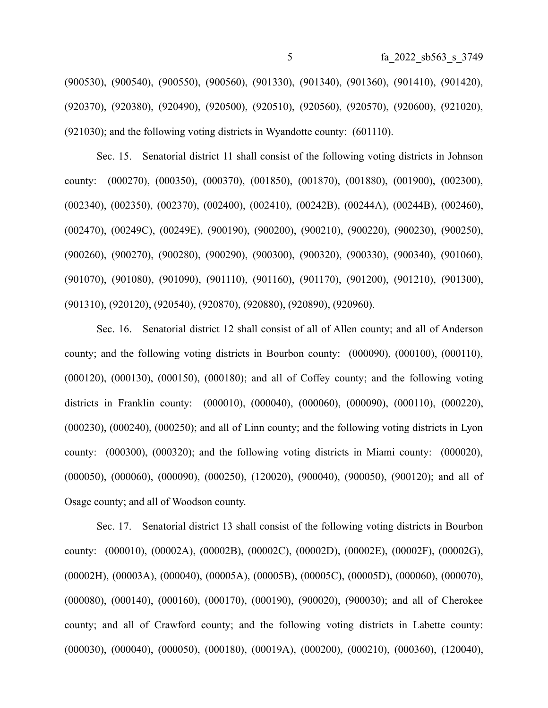(900530), (900540), (900550), (900560), (901330), (901340), (901360), (901410), (901420), (920370), (920380), (920490), (920500), (920510), (920560), (920570), (920600), (921020), (921030); and the following voting districts in Wyandotte county: (601110).

Sec. 15. Senatorial district 11 shall consist of the following voting districts in Johnson county: (000270), (000350), (000370), (001850), (001870), (001880), (001900), (002300), (002340), (002350), (002370), (002400), (002410), (00242B), (00244A), (00244B), (002460), (002470), (00249C), (00249E), (900190), (900200), (900210), (900220), (900230), (900250), (900260), (900270), (900280), (900290), (900300), (900320), (900330), (900340), (901060), (901070), (901080), (901090), (901110), (901160), (901170), (901200), (901210), (901300), (901310), (920120), (920540), (920870), (920880), (920890), (920960).

Sec. 16. Senatorial district 12 shall consist of all of Allen county; and all of Anderson county; and the following voting districts in Bourbon county: (000090), (000100), (000110), (000120), (000130), (000150), (000180); and all of Coffey county; and the following voting districts in Franklin county: (000010), (000040), (000060), (000090), (000110), (000220), (000230), (000240), (000250); and all of Linn county; and the following voting districts in Lyon county: (000300), (000320); and the following voting districts in Miami county: (000020), (000050), (000060), (000090), (000250), (120020), (900040), (900050), (900120); and all of Osage county; and all of Woodson county.

Sec. 17. Senatorial district 13 shall consist of the following voting districts in Bourbon county: (000010), (00002A), (00002B), (00002C), (00002D), (00002E), (00002F), (00002G), (00002H), (00003A), (000040), (00005A), (00005B), (00005C), (00005D), (000060), (000070), (000080), (000140), (000160), (000170), (000190), (900020), (900030); and all of Cherokee county; and all of Crawford county; and the following voting districts in Labette county: (000030), (000040), (000050), (000180), (00019A), (000200), (000210), (000360), (120040),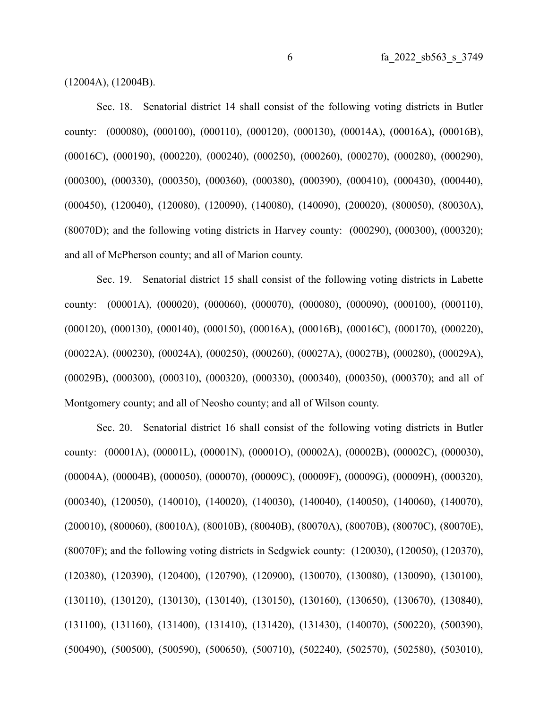(12004A), (12004B).

Sec. 18. Senatorial district 14 shall consist of the following voting districts in Butler county: (000080), (000100), (000110), (000120), (000130), (00014A), (00016A), (00016B), (00016C), (000190), (000220), (000240), (000250), (000260), (000270), (000280), (000290), (000300), (000330), (000350), (000360), (000380), (000390), (000410), (000430), (000440), (000450), (120040), (120080), (120090), (140080), (140090), (200020), (800050), (80030A), (80070D); and the following voting districts in Harvey county: (000290), (000300), (000320); and all of McPherson county; and all of Marion county.

Sec. 19. Senatorial district 15 shall consist of the following voting districts in Labette county: (00001A), (000020), (000060), (000070), (000080), (000090), (000100), (000110), (000120), (000130), (000140), (000150), (00016A), (00016B), (00016C), (000170), (000220), (00022A), (000230), (00024A), (000250), (000260), (00027A), (00027B), (000280), (00029A), (00029B), (000300), (000310), (000320), (000330), (000340), (000350), (000370); and all of Montgomery county; and all of Neosho county; and all of Wilson county.

Sec. 20. Senatorial district 16 shall consist of the following voting districts in Butler county: (00001A), (00001L), (00001N), (00001O), (00002A), (00002B), (00002C), (000030), (00004A), (00004B), (000050), (000070), (00009C), (00009F), (00009G), (00009H), (000320), (000340), (120050), (140010), (140020), (140030), (140040), (140050), (140060), (140070), (200010), (800060), (80010A), (80010B), (80040B), (80070A), (80070B), (80070C), (80070E), (80070F); and the following voting districts in Sedgwick county: (120030), (120050), (120370), (120380), (120390), (120400), (120790), (120900), (130070), (130080), (130090), (130100), (130110), (130120), (130130), (130140), (130150), (130160), (130650), (130670), (130840), (131100), (131160), (131400), (131410), (131420), (131430), (140070), (500220), (500390), (500490), (500500), (500590), (500650), (500710), (502240), (502570), (502580), (503010),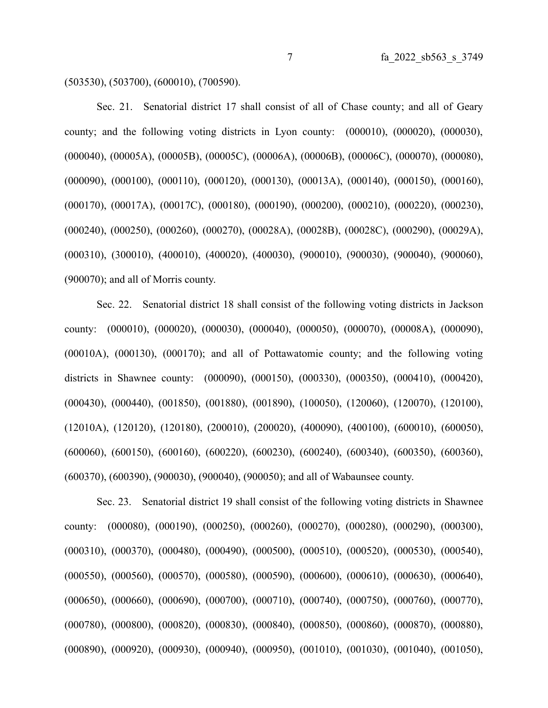(503530), (503700), (600010), (700590).

Sec. 21. Senatorial district 17 shall consist of all of Chase county; and all of Geary county; and the following voting districts in Lyon county: (000010), (000020), (000030), (000040), (00005A), (00005B), (00005C), (00006A), (00006B), (00006C), (000070), (000080), (000090), (000100), (000110), (000120), (000130), (00013A), (000140), (000150), (000160), (000170), (00017A), (00017C), (000180), (000190), (000200), (000210), (000220), (000230), (000240), (000250), (000260), (000270), (00028A), (00028B), (00028C), (000290), (00029A), (000310), (300010), (400010), (400020), (400030), (900010), (900030), (900040), (900060), (900070); and all of Morris county.

Sec. 22. Senatorial district 18 shall consist of the following voting districts in Jackson county: (000010), (000020), (000030), (000040), (000050), (000070), (00008A), (000090), (00010A), (000130), (000170); and all of Pottawatomie county; and the following voting districts in Shawnee county: (000090), (000150), (000330), (000350), (000410), (000420), (000430), (000440), (001850), (001880), (001890), (100050), (120060), (120070), (120100), (12010A), (120120), (120180), (200010), (200020), (400090), (400100), (600010), (600050), (600060), (600150), (600160), (600220), (600230), (600240), (600340), (600350), (600360), (600370), (600390), (900030), (900040), (900050); and all of Wabaunsee county.

Sec. 23. Senatorial district 19 shall consist of the following voting districts in Shawnee county: (000080), (000190), (000250), (000260), (000270), (000280), (000290), (000300), (000310), (000370), (000480), (000490), (000500), (000510), (000520), (000530), (000540), (000550), (000560), (000570), (000580), (000590), (000600), (000610), (000630), (000640), (000650), (000660), (000690), (000700), (000710), (000740), (000750), (000760), (000770), (000780), (000800), (000820), (000830), (000840), (000850), (000860), (000870), (000880), (000890), (000920), (000930), (000940), (000950), (001010), (001030), (001040), (001050),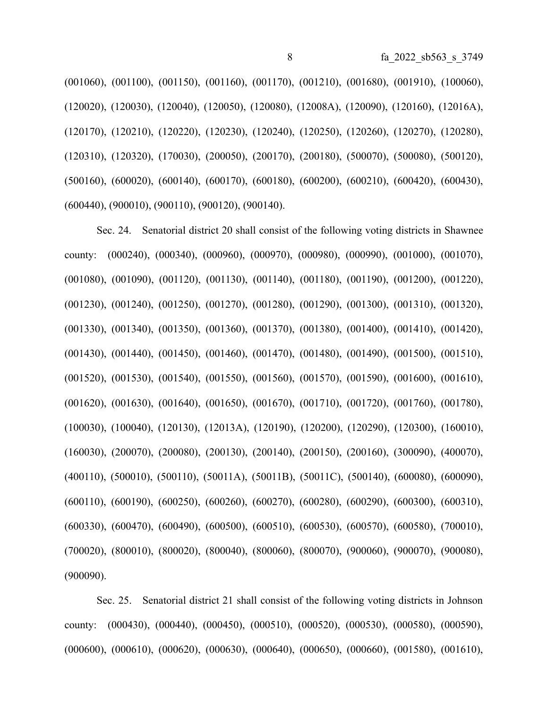(001060), (001100), (001150), (001160), (001170), (001210), (001680), (001910), (100060), (120020), (120030), (120040), (120050), (120080), (12008A), (120090), (120160), (12016A), (120170), (120210), (120220), (120230), (120240), (120250), (120260), (120270), (120280), (120310), (120320), (170030), (200050), (200170), (200180), (500070), (500080), (500120), (500160), (600020), (600140), (600170), (600180), (600200), (600210), (600420), (600430), (600440), (900010), (900110), (900120), (900140).

Sec. 24. Senatorial district 20 shall consist of the following voting districts in Shawnee county: (000240), (000340), (000960), (000970), (000980), (000990), (001000), (001070), (001080), (001090), (001120), (001130), (001140), (001180), (001190), (001200), (001220), (001230), (001240), (001250), (001270), (001280), (001290), (001300), (001310), (001320), (001330), (001340), (001350), (001360), (001370), (001380), (001400), (001410), (001420), (001430), (001440), (001450), (001460), (001470), (001480), (001490), (001500), (001510), (001520), (001530), (001540), (001550), (001560), (001570), (001590), (001600), (001610), (001620), (001630), (001640), (001650), (001670), (001710), (001720), (001760), (001780), (100030), (100040), (120130), (12013A), (120190), (120200), (120290), (120300), (160010), (160030), (200070), (200080), (200130), (200140), (200150), (200160), (300090), (400070), (400110), (500010), (500110), (50011A), (50011B), (50011C), (500140), (600080), (600090), (600110), (600190), (600250), (600260), (600270), (600280), (600290), (600300), (600310), (600330), (600470), (600490), (600500), (600510), (600530), (600570), (600580), (700010), (700020), (800010), (800020), (800040), (800060), (800070), (900060), (900070), (900080), (900090).

Sec. 25. Senatorial district 21 shall consist of the following voting districts in Johnson county: (000430), (000440), (000450), (000510), (000520), (000530), (000580), (000590), (000600), (000610), (000620), (000630), (000640), (000650), (000660), (001580), (001610),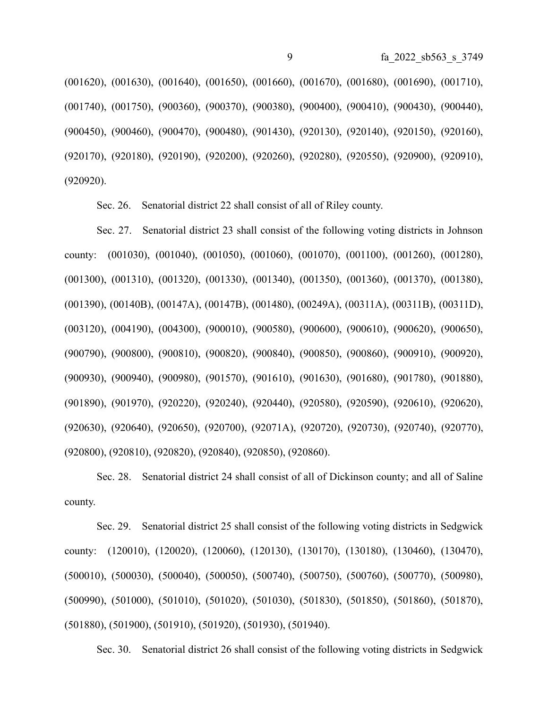(001620), (001630), (001640), (001650), (001660), (001670), (001680), (001690), (001710), (001740), (001750), (900360), (900370), (900380), (900400), (900410), (900430), (900440), (900450), (900460), (900470), (900480), (901430), (920130), (920140), (920150), (920160), (920170), (920180), (920190), (920200), (920260), (920280), (920550), (920900), (920910), (920920).

Sec. 26. Senatorial district 22 shall consist of all of Riley county.

Sec. 27. Senatorial district 23 shall consist of the following voting districts in Johnson county: (001030), (001040), (001050), (001060), (001070), (001100), (001260), (001280), (001300), (001310), (001320), (001330), (001340), (001350), (001360), (001370), (001380), (001390), (00140B), (00147A), (00147B), (001480), (00249A), (00311A), (00311B), (00311D), (003120), (004190), (004300), (900010), (900580), (900600), (900610), (900620), (900650), (900790), (900800), (900810), (900820), (900840), (900850), (900860), (900910), (900920), (900930), (900940), (900980), (901570), (901610), (901630), (901680), (901780), (901880), (901890), (901970), (920220), (920240), (920440), (920580), (920590), (920610), (920620), (920630), (920640), (920650), (920700), (92071A), (920720), (920730), (920740), (920770), (920800), (920810), (920820), (920840), (920850), (920860).

Sec. 28. Senatorial district 24 shall consist of all of Dickinson county; and all of Saline county.

Sec. 29. Senatorial district 25 shall consist of the following voting districts in Sedgwick county: (120010), (120020), (120060), (120130), (130170), (130180), (130460), (130470), (500010), (500030), (500040), (500050), (500740), (500750), (500760), (500770), (500980), (500990), (501000), (501010), (501020), (501030), (501830), (501850), (501860), (501870), (501880), (501900), (501910), (501920), (501930), (501940).

Sec. 30. Senatorial district 26 shall consist of the following voting districts in Sedgwick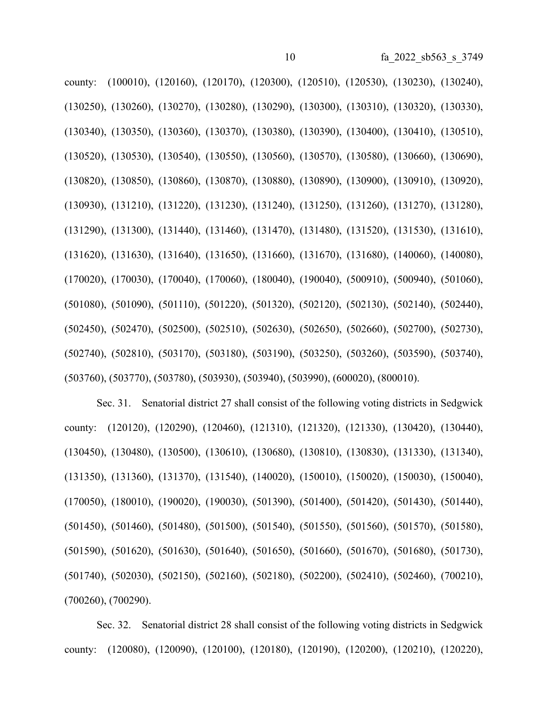county: (100010), (120160), (120170), (120300), (120510), (120530), (130230), (130240), (130250), (130260), (130270), (130280), (130290), (130300), (130310), (130320), (130330), (130340), (130350), (130360), (130370), (130380), (130390), (130400), (130410), (130510), (130520), (130530), (130540), (130550), (130560), (130570), (130580), (130660), (130690), (130820), (130850), (130860), (130870), (130880), (130890), (130900), (130910), (130920), (130930), (131210), (131220), (131230), (131240), (131250), (131260), (131270), (131280), (131290), (131300), (131440), (131460), (131470), (131480), (131520), (131530), (131610), (131620), (131630), (131640), (131650), (131660), (131670), (131680), (140060), (140080), (170020), (170030), (170040), (170060), (180040), (190040), (500910), (500940), (501060), (501080), (501090), (501110), (501220), (501320), (502120), (502130), (502140), (502440), (502450), (502470), (502500), (502510), (502630), (502650), (502660), (502700), (502730), (502740), (502810), (503170), (503180), (503190), (503250), (503260), (503590), (503740), (503760), (503770), (503780), (503930), (503940), (503990), (600020), (800010).

Sec. 31. Senatorial district 27 shall consist of the following voting districts in Sedgwick county: (120120), (120290), (120460), (121310), (121320), (121330), (130420), (130440), (130450), (130480), (130500), (130610), (130680), (130810), (130830), (131330), (131340), (131350), (131360), (131370), (131540), (140020), (150010), (150020), (150030), (150040), (170050), (180010), (190020), (190030), (501390), (501400), (501420), (501430), (501440), (501450), (501460), (501480), (501500), (501540), (501550), (501560), (501570), (501580), (501590), (501620), (501630), (501640), (501650), (501660), (501670), (501680), (501730), (501740), (502030), (502150), (502160), (502180), (502200), (502410), (502460), (700210), (700260), (700290).

Sec. 32. Senatorial district 28 shall consist of the following voting districts in Sedgwick county: (120080), (120090), (120100), (120180), (120190), (120200), (120210), (120220),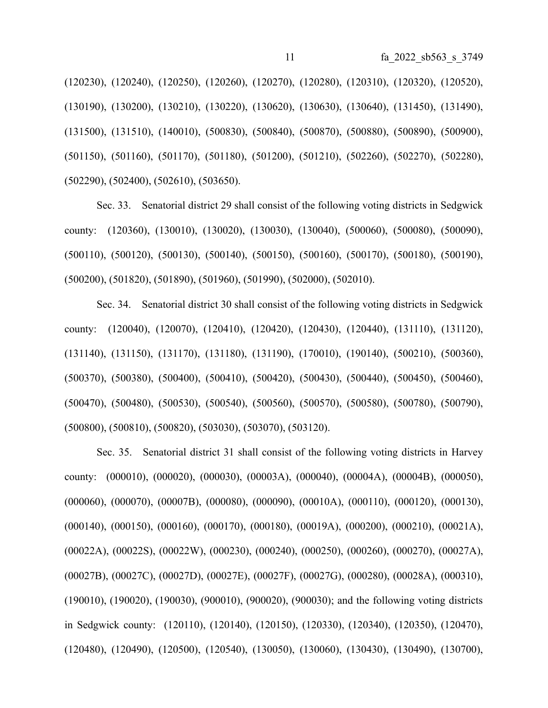(120230), (120240), (120250), (120260), (120270), (120280), (120310), (120320), (120520), (130190), (130200), (130210), (130220), (130620), (130630), (130640), (131450), (131490), (131500), (131510), (140010), (500830), (500840), (500870), (500880), (500890), (500900), (501150), (501160), (501170), (501180), (501200), (501210), (502260), (502270), (502280), (502290), (502400), (502610), (503650).

Sec. 33. Senatorial district 29 shall consist of the following voting districts in Sedgwick county: (120360), (130010), (130020), (130030), (130040), (500060), (500080), (500090), (500110), (500120), (500130), (500140), (500150), (500160), (500170), (500180), (500190), (500200), (501820), (501890), (501960), (501990), (502000), (502010).

Sec. 34. Senatorial district 30 shall consist of the following voting districts in Sedgwick county: (120040), (120070), (120410), (120420), (120430), (120440), (131110), (131120), (131140), (131150), (131170), (131180), (131190), (170010), (190140), (500210), (500360), (500370), (500380), (500400), (500410), (500420), (500430), (500440), (500450), (500460), (500470), (500480), (500530), (500540), (500560), (500570), (500580), (500780), (500790), (500800), (500810), (500820), (503030), (503070), (503120).

Sec. 35. Senatorial district 31 shall consist of the following voting districts in Harvey county: (000010), (000020), (000030), (00003A), (000040), (00004A), (00004B), (000050), (000060), (000070), (00007B), (000080), (000090), (00010A), (000110), (000120), (000130), (000140), (000150), (000160), (000170), (000180), (00019A), (000200), (000210), (00021A), (00022A), (00022S), (00022W), (000230), (000240), (000250), (000260), (000270), (00027A), (00027B), (00027C), (00027D), (00027E), (00027F), (00027G), (000280), (00028A), (000310), (190010), (190020), (190030), (900010), (900020), (900030); and the following voting districts in Sedgwick county: (120110), (120140), (120150), (120330), (120340), (120350), (120470), (120480), (120490), (120500), (120540), (130050), (130060), (130430), (130490), (130700),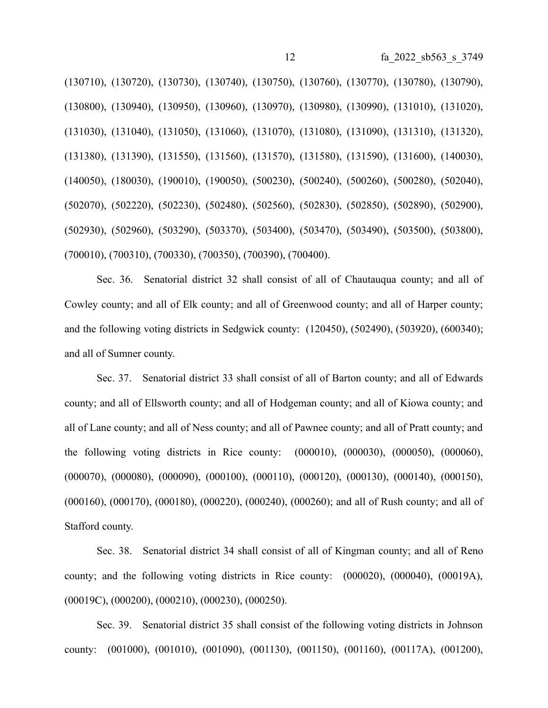(130710), (130720), (130730), (130740), (130750), (130760), (130770), (130780), (130790), (130800), (130940), (130950), (130960), (130970), (130980), (130990), (131010), (131020), (131030), (131040), (131050), (131060), (131070), (131080), (131090), (131310), (131320), (131380), (131390), (131550), (131560), (131570), (131580), (131590), (131600), (140030), (140050), (180030), (190010), (190050), (500230), (500240), (500260), (500280), (502040), (502070), (502220), (502230), (502480), (502560), (502830), (502850), (502890), (502900), (502930), (502960), (503290), (503370), (503400), (503470), (503490), (503500), (503800), (700010), (700310), (700330), (700350), (700390), (700400).

Sec. 36. Senatorial district 32 shall consist of all of Chautauqua county; and all of Cowley county; and all of Elk county; and all of Greenwood county; and all of Harper county; and the following voting districts in Sedgwick county: (120450), (502490), (503920), (600340); and all of Sumner county.

Sec. 37. Senatorial district 33 shall consist of all of Barton county; and all of Edwards county; and all of Ellsworth county; and all of Hodgeman county; and all of Kiowa county; and all of Lane county; and all of Ness county; and all of Pawnee county; and all of Pratt county; and the following voting districts in Rice county: (000010), (000030), (000050), (000060), (000070), (000080), (000090), (000100), (000110), (000120), (000130), (000140), (000150), (000160), (000170), (000180), (000220), (000240), (000260); and all of Rush county; and all of Stafford county.

Sec. 38. Senatorial district 34 shall consist of all of Kingman county; and all of Reno county; and the following voting districts in Rice county: (000020), (000040), (00019A), (00019C), (000200), (000210), (000230), (000250).

Sec. 39. Senatorial district 35 shall consist of the following voting districts in Johnson county: (001000), (001010), (001090), (001130), (001150), (001160), (00117A), (001200),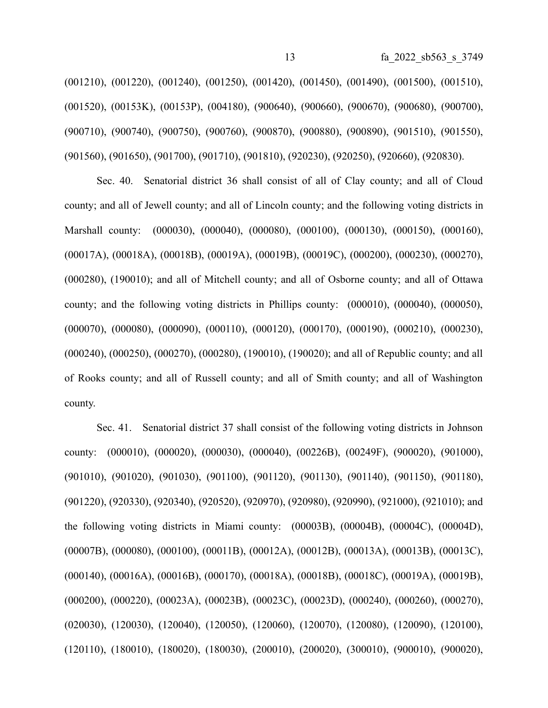(001210), (001220), (001240), (001250), (001420), (001450), (001490), (001500), (001510), (001520), (00153K), (00153P), (004180), (900640), (900660), (900670), (900680), (900700), (900710), (900740), (900750), (900760), (900870), (900880), (900890), (901510), (901550), (901560), (901650), (901700), (901710), (901810), (920230), (920250), (920660), (920830).

Sec. 40. Senatorial district 36 shall consist of all of Clay county; and all of Cloud county; and all of Jewell county; and all of Lincoln county; and the following voting districts in Marshall county: (000030), (000040), (000080), (000100), (000130), (000150), (000160), (00017A), (00018A), (00018B), (00019A), (00019B), (00019C), (000200), (000230), (000270), (000280), (190010); and all of Mitchell county; and all of Osborne county; and all of Ottawa county; and the following voting districts in Phillips county: (000010), (000040), (000050), (000070), (000080), (000090), (000110), (000120), (000170), (000190), (000210), (000230), (000240), (000250), (000270), (000280), (190010), (190020); and all of Republic county; and all of Rooks county; and all of Russell county; and all of Smith county; and all of Washington county.

Sec. 41. Senatorial district 37 shall consist of the following voting districts in Johnson county: (000010), (000020), (000030), (000040), (00226B), (00249F), (900020), (901000), (901010), (901020), (901030), (901100), (901120), (901130), (901140), (901150), (901180), (901220), (920330), (920340), (920520), (920970), (920980), (920990), (921000), (921010); and the following voting districts in Miami county: (00003B), (00004B), (00004C), (00004D), (00007B), (000080), (000100), (00011B), (00012A), (00012B), (00013A), (00013B), (00013C), (000140), (00016A), (00016B), (000170), (00018A), (00018B), (00018C), (00019A), (00019B), (000200), (000220), (00023A), (00023B), (00023C), (00023D), (000240), (000260), (000270), (020030), (120030), (120040), (120050), (120060), (120070), (120080), (120090), (120100), (120110), (180010), (180020), (180030), (200010), (200020), (300010), (900010), (900020),